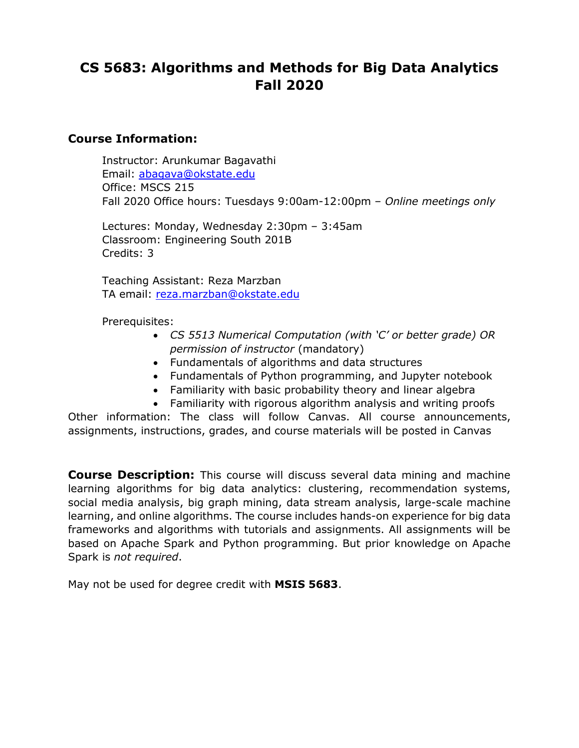# **CS 5683: Algorithms and Methods for Big Data Analytics Fall 2020**

#### **Course Information:**

Instructor: Arunkumar Bagavathi Email: [abagava@okstate.edu](mailto:abagava@okstate.edu) Office: MSCS 215 Fall 2020 Office hours: Tuesdays 9:00am-12:00pm – *Online meetings only*

Lectures: Monday, Wednesday 2:30pm – 3:45am Classroom: Engineering South 201B Credits: 3

Teaching Assistant: Reza Marzban TA email: [reza.marzban@okstate.edu](mailto:reza.marzban@okstate.edu)

Prerequisites:

- *CS 5513 Numerical Computation (with 'C' or better grade) OR permission of instructor* (mandatory)
- Fundamentals of algorithms and data structures
- Fundamentals of Python programming, and Jupyter notebook
- Familiarity with basic probability theory and linear algebra
- Familiarity with rigorous algorithm analysis and writing proofs

Other information: The class will follow Canvas. All course announcements, assignments, instructions, grades, and course materials will be posted in Canvas

**Course Description:** This course will discuss several data mining and machine learning algorithms for big data analytics: clustering, recommendation systems, social media analysis, big graph mining, data stream analysis, large-scale machine learning, and online algorithms. The course includes hands-on experience for big data frameworks and algorithms with tutorials and assignments. All assignments will be based on Apache Spark and Python programming. But prior knowledge on Apache Spark is *not required*.

May not be used for degree credit with **MSIS 5683**.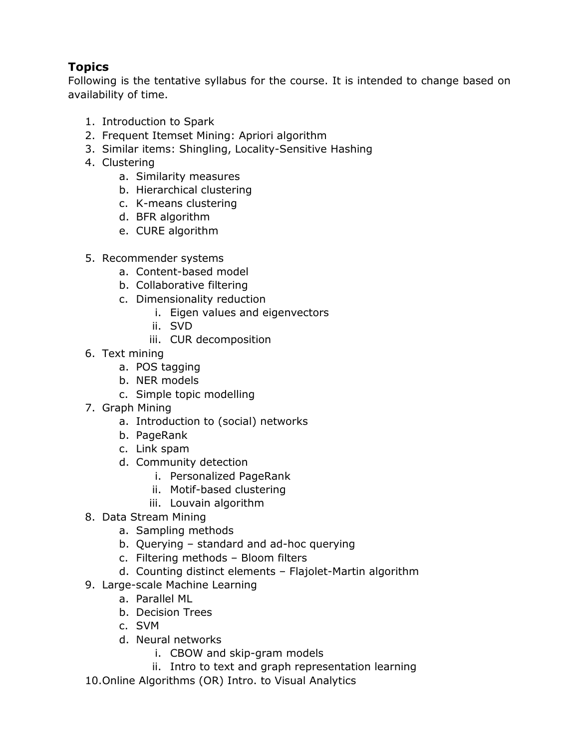# **Topics**

Following is the tentative syllabus for the course. It is intended to change based on availability of time.

- 1. Introduction to Spark
- 2. Frequent Itemset Mining: Apriori algorithm
- 3. Similar items: Shingling, Locality-Sensitive Hashing
- 4. Clustering
	- a. Similarity measures
	- b. Hierarchical clustering
	- c. K-means clustering
	- d. BFR algorithm
	- e. CURE algorithm
- 5. Recommender systems
	- a. Content-based model
	- b. Collaborative filtering
	- c. Dimensionality reduction
		- i. Eigen values and eigenvectors
		- ii. SVD
		- iii. CUR decomposition
- 6. Text mining
	- a. POS tagging
	- b. NER models
	- c. Simple topic modelling
- 7. Graph Mining
	- a. Introduction to (social) networks
	- b. PageRank
	- c. Link spam
	- d. Community detection
		- i. Personalized PageRank
		- ii. Motif-based clustering
		- iii. Louvain algorithm
- 8. Data Stream Mining
	- a. Sampling methods
	- b. Querying standard and ad-hoc querying
	- c. Filtering methods Bloom filters
	- d. Counting distinct elements Flajolet-Martin algorithm
- 9. Large-scale Machine Learning
	- a. Parallel ML
	- b. Decision Trees
	- c. SVM
	- d. Neural networks
		- i. CBOW and skip-gram models
		- ii. Intro to text and graph representation learning
- 10.Online Algorithms (OR) Intro. to Visual Analytics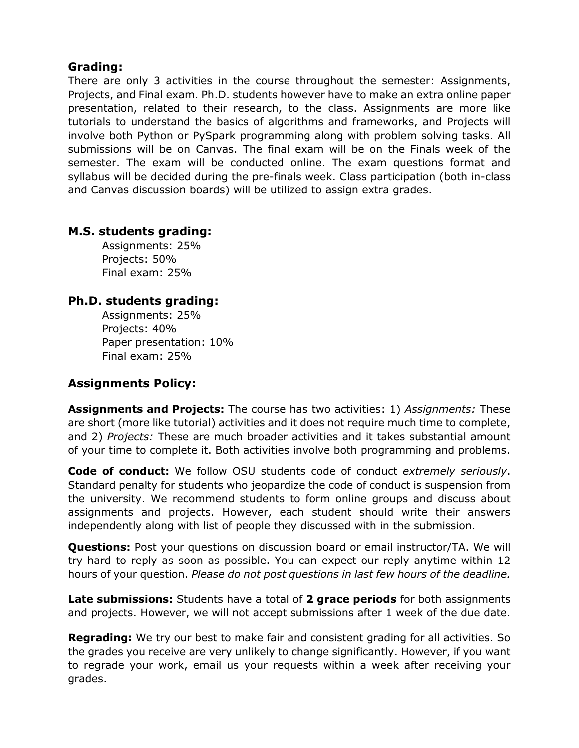## **Grading:**

There are only 3 activities in the course throughout the semester: Assignments, Projects, and Final exam. Ph.D. students however have to make an extra online paper presentation, related to their research, to the class. Assignments are more like tutorials to understand the basics of algorithms and frameworks, and Projects will involve both Python or PySpark programming along with problem solving tasks. All submissions will be on Canvas. The final exam will be on the Finals week of the semester. The exam will be conducted online. The exam questions format and syllabus will be decided during the pre-finals week. Class participation (both in-class and Canvas discussion boards) will be utilized to assign extra grades.

## **M.S. students grading:**

Assignments: 25% Projects: 50% Final exam: 25%

# **Ph.D. students grading:**

Assignments: 25% Projects: 40% Paper presentation: 10% Final exam: 25%

# **Assignments Policy:**

**Assignments and Projects:** The course has two activities: 1) *Assignments:* These are short (more like tutorial) activities and it does not require much time to complete, and 2) *Projects:* These are much broader activities and it takes substantial amount of your time to complete it. Both activities involve both programming and problems.

**Code of conduct:** We follow OSU students code of conduct *extremely seriously*. Standard penalty for students who jeopardize the code of conduct is suspension from the university. We recommend students to form online groups and discuss about assignments and projects. However, each student should write their answers independently along with list of people they discussed with in the submission.

**Questions:** Post your questions on discussion board or email instructor/TA. We will try hard to reply as soon as possible. You can expect our reply anytime within 12 hours of your question. *Please do not post questions in last few hours of the deadline.*

**Late submissions:** Students have a total of **2 grace periods** for both assignments and projects. However, we will not accept submissions after 1 week of the due date.

**Regrading:** We try our best to make fair and consistent grading for all activities. So the grades you receive are very unlikely to change significantly. However, if you want to regrade your work, email us your requests within a week after receiving your grades.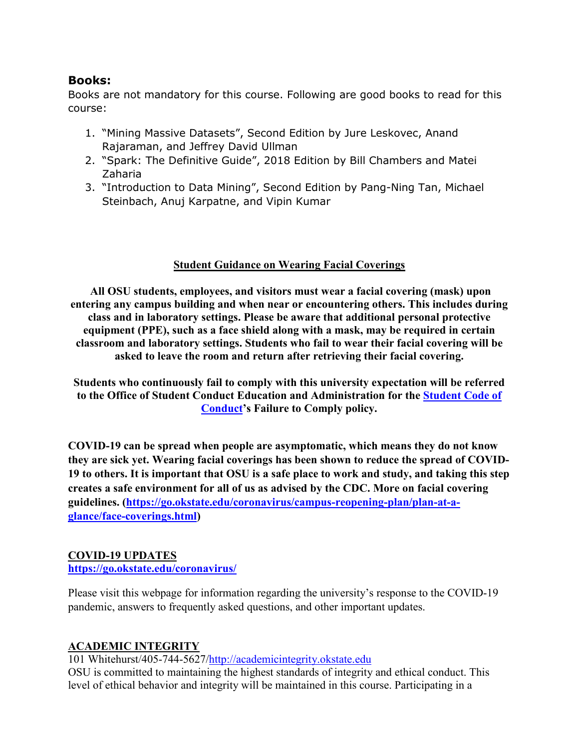## **Books:**

Books are not mandatory for this course. Following are good books to read for this course:

- 1. "Mining Massive Datasets", Second Edition by Jure Leskovec, Anand Rajaraman, and Jeffrey David Ullman
- 2. "Spark: The Definitive Guide", 2018 Edition by Bill Chambers and Matei Zaharia
- 3. "Introduction to Data Mining", Second Edition by Pang-Ning Tan, Michael Steinbach, Anuj Karpatne, and Vipin Kumar

### **Student Guidance on Wearing Facial Coverings**

**All OSU students, employees, and visitors must wear a facial covering (mask) upon entering any campus building and when near or encountering others. This includes during class and in laboratory settings. Please be aware that additional personal protective equipment (PPE), such as a face shield along with a mask, may be required in certain classroom and laboratory settings. Students who fail to wear their facial covering will be asked to leave the room and return after retrieving their facial covering.**

**Students who continuously fail to comply with this university expectation will be referred to the Office of Student Conduct Education and Administration for the [Student Code of](https://studentconduct.okstate.edu/code)  [Conduct'](https://studentconduct.okstate.edu/code)s Failure to Comply policy.** 

**COVID-19 can be spread when people are asymptomatic, which means they do not know they are sick yet. Wearing facial coverings has been shown to reduce the spread of COVID-19 to others. It is important that OSU is a safe place to work and study, and taking this step creates a safe environment for all of us as advised by the CDC. More on facial covering guidelines. [\(https://go.okstate.edu/coronavirus/campus-reopening-plan/plan-at-a](https://go.okstate.edu/coronavirus/campus-reopening-plan/plan-at-a-glance/face-coverings.html)[glance/face-coverings.html\)](https://go.okstate.edu/coronavirus/campus-reopening-plan/plan-at-a-glance/face-coverings.html)**

#### **COVID-19 UPDATES**

#### **<https://go.okstate.edu/coronavirus/>**

Please visit this webpage for information regarding the university's response to the COVID-19 pandemic, answers to frequently asked questions, and other important updates.

## **[ACADEMIC INTEGRITY](http://academicintegrity.okstate.edu/)**

101 Whitehurst/405-744-5627[/http://academicintegrity.okstate.edu](http://academicintegrity.okstate.edu/)

OSU is committed to maintaining the highest standards of integrity and ethical conduct. This level of ethical behavior and integrity will be maintained in this course. Participating in a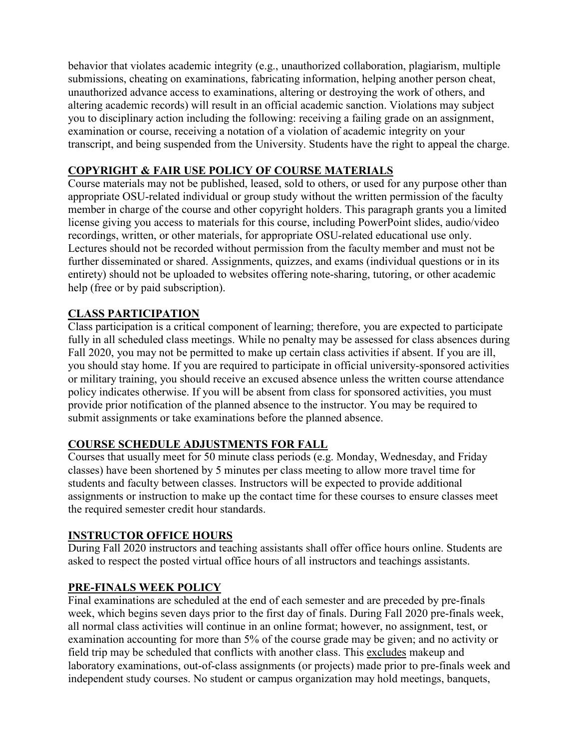behavior that violates academic integrity (e.g., unauthorized collaboration, plagiarism, multiple submissions, cheating on examinations, fabricating information, helping another person cheat, unauthorized advance access to examinations, altering or destroying the work of others, and altering academic records) will result in an official academic sanction. Violations may subject you to disciplinary action including the following: receiving a failing grade on an assignment, examination or course, receiving a notation of a violation of academic integrity on your transcript, and being suspended from the University. Students have the right to appeal the charge.

### **COPYRIGHT & FAIR USE POLICY OF COURSE MATERIALS**

Course materials may not be published, leased, sold to others, or used for any purpose other than appropriate OSU-related individual or group study without the written permission of the faculty member in charge of the course and other copyright holders. This paragraph grants you a limited license giving you access to materials for this course, including PowerPoint slides, audio/video recordings, written, or other materials, for appropriate OSU-related educational use only. Lectures should not be recorded without permission from the faculty member and must not be further disseminated or shared. Assignments, quizzes, and exams (individual questions or in its entirety) should not be uploaded to websites offering note-sharing, tutoring, or other academic help (free or by paid subscription).

## **CLASS PARTICIPATION**

Class participation is a critical component of learning; therefore, you are expected to participate fully in all scheduled class meetings. While no penalty may be assessed for class absences during Fall 2020, you may not be permitted to make up certain class activities if absent. If you are ill, you should stay home. If you are required to participate in official university-sponsored activities or military training, you should receive an excused absence unless the written course attendance policy indicates otherwise. If you will be absent from class for sponsored activities, you must provide prior notification of the planned absence to the instructor. You may be required to submit assignments or take examinations before the planned absence.

#### **COURSE SCHEDULE ADJUSTMENTS FOR FALL**

Courses that usually meet for 50 minute class periods (e.g. Monday, Wednesday, and Friday classes) have been shortened by 5 minutes per class meeting to allow more travel time for students and faculty between classes. Instructors will be expected to provide additional assignments or instruction to make up the contact time for these courses to ensure classes meet the required semester credit hour standards.

#### **INSTRUCTOR OFFICE HOURS**

During Fall 2020 instructors and teaching assistants shall offer office hours online. Students are asked to respect the posted virtual office hours of all instructors and teachings assistants.

#### **PRE-FINALS WEEK POLICY**

Final examinations are scheduled at the end of each semester and are preceded by pre-finals week, which begins seven days prior to the first day of finals. During Fall 2020 pre-finals week, all normal class activities will continue in an online format; however, no assignment, test, or examination accounting for more than 5% of the course grade may be given; and no activity or field trip may be scheduled that conflicts with another class. This excludes makeup and laboratory examinations, out-of-class assignments (or projects) made prior to pre-finals week and independent study courses. No student or campus organization may hold meetings, banquets,